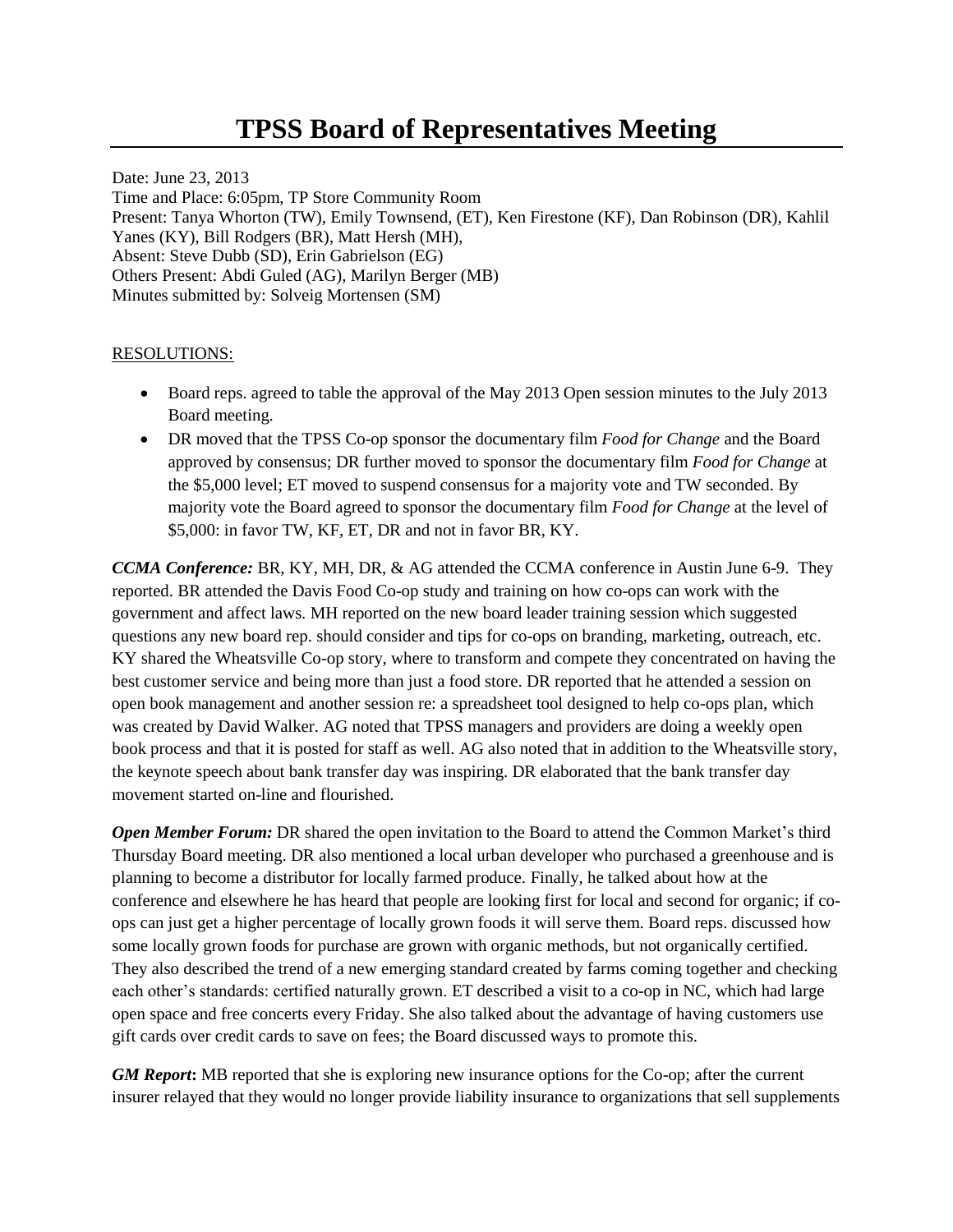## **TPSS Board of Representatives Meeting**

Date: June 23, 2013 Time and Place: 6:05pm, TP Store Community Room Present: Tanya Whorton (TW), Emily Townsend, (ET), Ken Firestone (KF), Dan Robinson (DR), Kahlil Yanes (KY), Bill Rodgers (BR), Matt Hersh (MH), Absent: Steve Dubb (SD), Erin Gabrielson (EG) Others Present: Abdi Guled (AG), Marilyn Berger (MB) Minutes submitted by: Solveig Mortensen (SM)

## RESOLUTIONS:

- Board reps. agreed to table the approval of the May 2013 Open session minutes to the July 2013 Board meeting.
- DR moved that the TPSS Co-op sponsor the documentary film *Food for Change* and the Board approved by consensus; DR further moved to sponsor the documentary film *Food for Change* at the \$5,000 level; ET moved to suspend consensus for a majority vote and TW seconded. By majority vote the Board agreed to sponsor the documentary film *Food for Change* at the level of \$5,000: in favor TW, KF, ET, DR and not in favor BR, KY.

*CCMA Conference:* BR, KY, MH, DR, & AG attended the CCMA conference in Austin June 6-9. They reported. BR attended the Davis Food Co-op study and training on how co-ops can work with the government and affect laws. MH reported on the new board leader training session which suggested questions any new board rep. should consider and tips for co-ops on branding, marketing, outreach, etc. KY shared the Wheatsville Co-op story, where to transform and compete they concentrated on having the best customer service and being more than just a food store. DR reported that he attended a session on open book management and another session re: a spreadsheet tool designed to help co-ops plan, which was created by David Walker. AG noted that TPSS managers and providers are doing a weekly open book process and that it is posted for staff as well. AG also noted that in addition to the Wheatsville story, the keynote speech about bank transfer day was inspiring. DR elaborated that the bank transfer day movement started on-line and flourished.

*Open Member Forum:* DR shared the open invitation to the Board to attend the Common Market's third Thursday Board meeting. DR also mentioned a local urban developer who purchased a greenhouse and is planning to become a distributor for locally farmed produce. Finally, he talked about how at the conference and elsewhere he has heard that people are looking first for local and second for organic; if coops can just get a higher percentage of locally grown foods it will serve them. Board reps. discussed how some locally grown foods for purchase are grown with organic methods, but not organically certified. They also described the trend of a new emerging standard created by farms coming together and checking each other's standards: certified naturally grown. ET described a visit to a co-op in NC, which had large open space and free concerts every Friday. She also talked about the advantage of having customers use gift cards over credit cards to save on fees; the Board discussed ways to promote this.

*GM Report***:** MB reported that she is exploring new insurance options for the Co-op; after the current insurer relayed that they would no longer provide liability insurance to organizations that sell supplements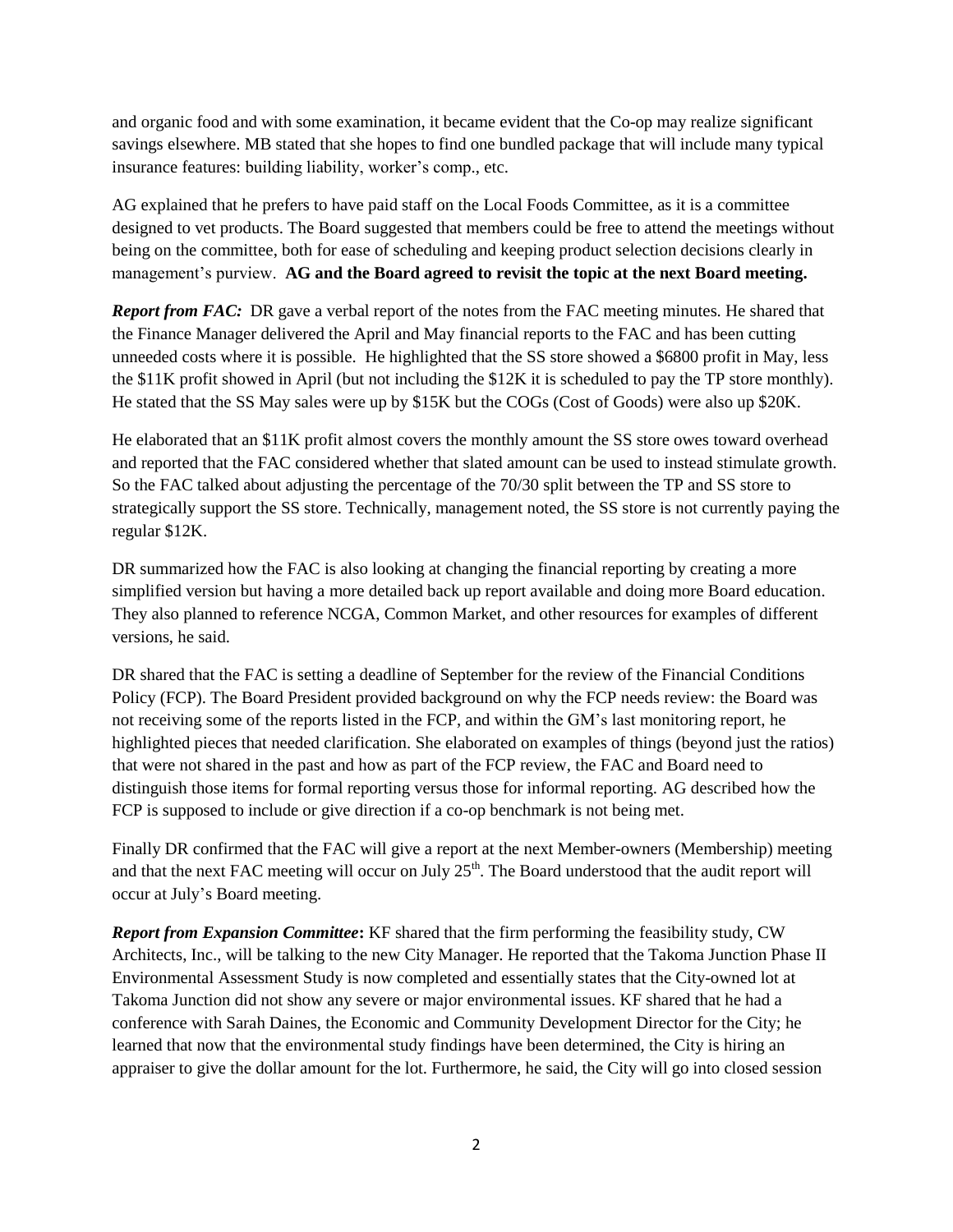and organic food and with some examination, it became evident that the Co-op may realize significant savings elsewhere. MB stated that she hopes to find one bundled package that will include many typical insurance features: building liability, worker's comp., etc.

AG explained that he prefers to have paid staff on the Local Foods Committee, as it is a committee designed to vet products. The Board suggested that members could be free to attend the meetings without being on the committee, both for ease of scheduling and keeping product selection decisions clearly in management's purview. **AG and the Board agreed to revisit the topic at the next Board meeting.**

*Report from FAC:* DR gave a verbal report of the notes from the FAC meeting minutes. He shared that the Finance Manager delivered the April and May financial reports to the FAC and has been cutting unneeded costs where it is possible. He highlighted that the SS store showed a \$6800 profit in May, less the \$11K profit showed in April (but not including the \$12K it is scheduled to pay the TP store monthly). He stated that the SS May sales were up by \$15K but the COGs (Cost of Goods) were also up \$20K.

He elaborated that an \$11K profit almost covers the monthly amount the SS store owes toward overhead and reported that the FAC considered whether that slated amount can be used to instead stimulate growth. So the FAC talked about adjusting the percentage of the 70/30 split between the TP and SS store to strategically support the SS store. Technically, management noted, the SS store is not currently paying the regular \$12K.

DR summarized how the FAC is also looking at changing the financial reporting by creating a more simplified version but having a more detailed back up report available and doing more Board education. They also planned to reference NCGA, Common Market, and other resources for examples of different versions, he said.

DR shared that the FAC is setting a deadline of September for the review of the Financial Conditions Policy (FCP). The Board President provided background on why the FCP needs review: the Board was not receiving some of the reports listed in the FCP, and within the GM's last monitoring report, he highlighted pieces that needed clarification. She elaborated on examples of things (beyond just the ratios) that were not shared in the past and how as part of the FCP review, the FAC and Board need to distinguish those items for formal reporting versus those for informal reporting. AG described how the FCP is supposed to include or give direction if a co-op benchmark is not being met.

Finally DR confirmed that the FAC will give a report at the next Member-owners (Membership) meeting and that the next FAC meeting will occur on July  $25<sup>th</sup>$ . The Board understood that the audit report will occur at July's Board meeting.

*Report from Expansion Committee***:** KF shared that the firm performing the feasibility study, CW Architects, Inc., will be talking to the new City Manager. He reported that the Takoma Junction Phase II Environmental Assessment Study is now completed and essentially states that the City-owned lot at Takoma Junction did not show any severe or major environmental issues. KF shared that he had a conference with Sarah Daines, the Economic and Community Development Director for the City; he learned that now that the environmental study findings have been determined, the City is hiring an appraiser to give the dollar amount for the lot. Furthermore, he said, the City will go into closed session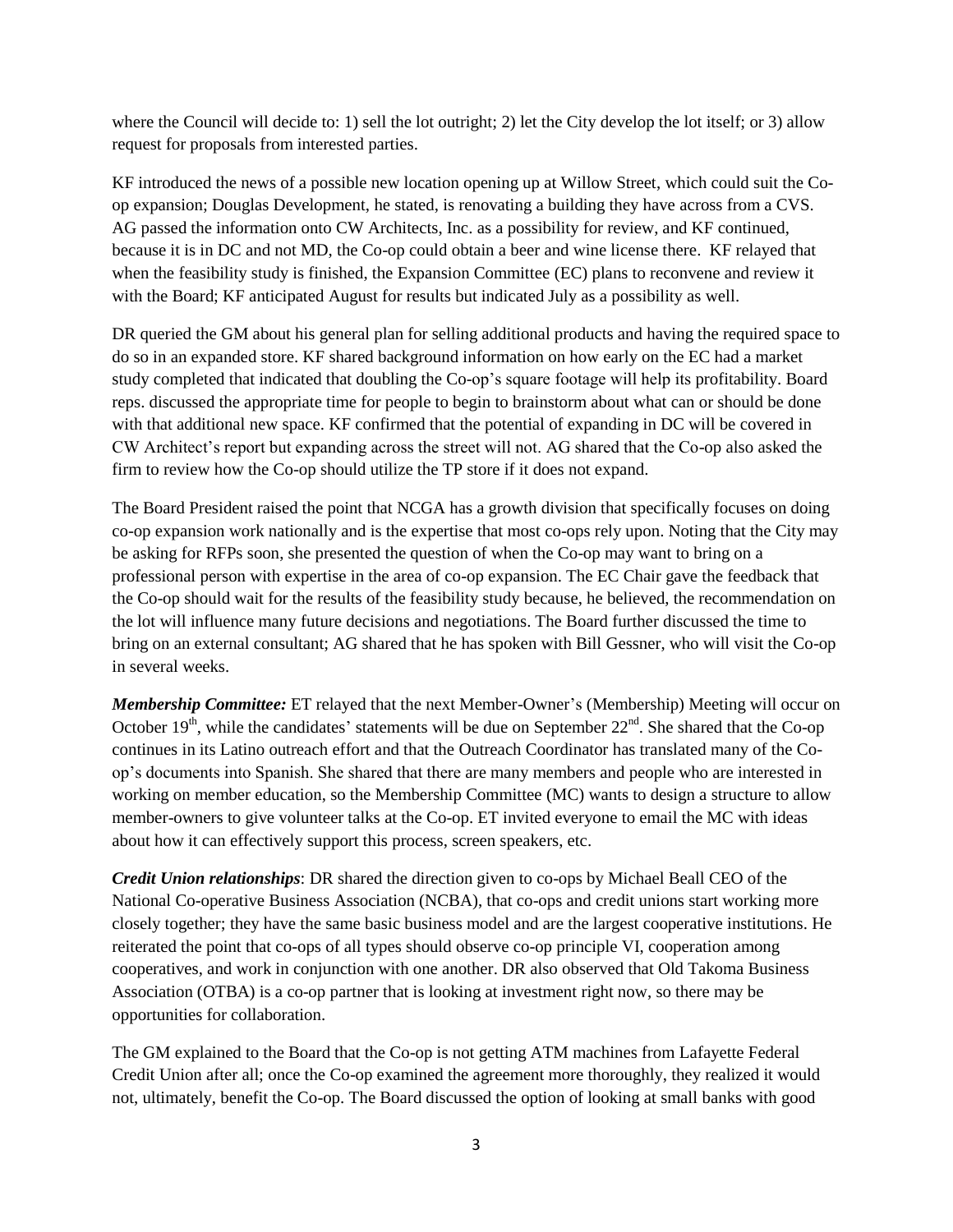where the Council will decide to: 1) sell the lot outright; 2) let the City develop the lot itself; or 3) allow request for proposals from interested parties.

KF introduced the news of a possible new location opening up at Willow Street, which could suit the Coop expansion; Douglas Development, he stated, is renovating a building they have across from a CVS. AG passed the information onto CW Architects, Inc. as a possibility for review, and KF continued, because it is in DC and not MD, the Co-op could obtain a beer and wine license there. KF relayed that when the feasibility study is finished, the Expansion Committee (EC) plans to reconvene and review it with the Board; KF anticipated August for results but indicated July as a possibility as well.

DR queried the GM about his general plan for selling additional products and having the required space to do so in an expanded store. KF shared background information on how early on the EC had a market study completed that indicated that doubling the Co-op's square footage will help its profitability. Board reps. discussed the appropriate time for people to begin to brainstorm about what can or should be done with that additional new space. KF confirmed that the potential of expanding in DC will be covered in CW Architect's report but expanding across the street will not. AG shared that the Co-op also asked the firm to review how the Co-op should utilize the TP store if it does not expand.

The Board President raised the point that NCGA has a growth division that specifically focuses on doing co-op expansion work nationally and is the expertise that most co-ops rely upon. Noting that the City may be asking for RFPs soon, she presented the question of when the Co-op may want to bring on a professional person with expertise in the area of co-op expansion. The EC Chair gave the feedback that the Co-op should wait for the results of the feasibility study because, he believed, the recommendation on the lot will influence many future decisions and negotiations. The Board further discussed the time to bring on an external consultant; AG shared that he has spoken with Bill Gessner, who will visit the Co-op in several weeks.

*Membership Committee:* ET relayed that the next Member-Owner's (Membership) Meeting will occur on October  $19<sup>th</sup>$ , while the candidates' statements will be due on September  $22<sup>nd</sup>$ . She shared that the Co-op continues in its Latino outreach effort and that the Outreach Coordinator has translated many of the Coop's documents into Spanish. She shared that there are many members and people who are interested in working on member education, so the Membership Committee (MC) wants to design a structure to allow member-owners to give volunteer talks at the Co-op. ET invited everyone to email the MC with ideas about how it can effectively support this process, screen speakers, etc.

*Credit Union relationships*: DR shared the direction given to co-ops by Michael Beall CEO of the National Co-operative Business Association (NCBA), that co-ops and credit unions start working more closely together; they have the same basic business model and are the largest cooperative institutions. He reiterated the point that co-ops of all types should observe co-op principle VI, cooperation among cooperatives, and work in conjunction with one another. DR also observed that Old Takoma Business Association (OTBA) is a co-op partner that is looking at investment right now, so there may be opportunities for collaboration.

The GM explained to the Board that the Co-op is not getting ATM machines from Lafayette Federal Credit Union after all; once the Co-op examined the agreement more thoroughly, they realized it would not, ultimately, benefit the Co-op. The Board discussed the option of looking at small banks with good